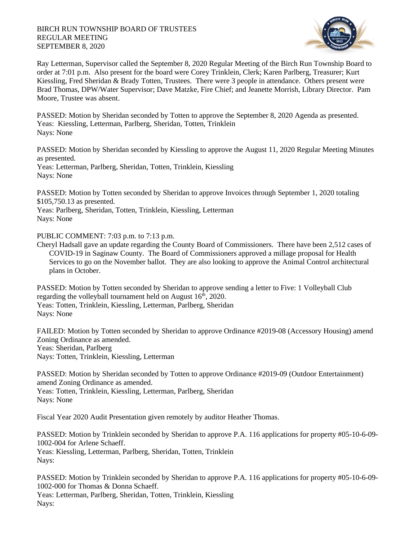## BIRCH RUN TOWNSHIP BOARD OF TRUSTEES REGULAR MEETING SEPTEMBER 8, 2020



Ray Letterman, Supervisor called the September 8, 2020 Regular Meeting of the Birch Run Township Board to order at 7:01 p.m. Also present for the board were Corey Trinklein, Clerk; Karen Parlberg, Treasurer; Kurt Kiessling, Fred Sheridan & Brady Totten, Trustees. There were 3 people in attendance. Others present were Brad Thomas, DPW/Water Supervisor; Dave Matzke, Fire Chief; and Jeanette Morrish, Library Director. Pam Moore, Trustee was absent.

PASSED: Motion by Sheridan seconded by Totten to approve the September 8, 2020 Agenda as presented. Yeas: Kiessling, Letterman, Parlberg, Sheridan, Totten, Trinklein Nays: None

PASSED: Motion by Sheridan seconded by Kiessling to approve the August 11, 2020 Regular Meeting Minutes as presented.

Yeas: Letterman, Parlberg, Sheridan, Totten, Trinklein, Kiessling Nays: None

PASSED: Motion by Totten seconded by Sheridan to approve Invoices through September 1, 2020 totaling \$105,750.13 as presented.

Yeas: Parlberg, Sheridan, Totten, Trinklein, Kiessling, Letterman Nays: None

PUBLIC COMMENT: 7:03 p.m. to 7:13 p.m.

Cheryl Hadsall gave an update regarding the County Board of Commissioners. There have been 2,512 cases of COVID-19 in Saginaw County. The Board of Commissioners approved a millage proposal for Health Services to go on the November ballot. They are also looking to approve the Animal Control architectural plans in October.

PASSED: Motion by Totten seconded by Sheridan to approve sending a letter to Five: 1 Volleyball Club regarding the volleyball tournament held on August 16<sup>th</sup>, 2020. Yeas: Totten, Trinklein, Kiessling, Letterman, Parlberg, Sheridan Nays: None

FAILED: Motion by Totten seconded by Sheridan to approve Ordinance #2019-08 (Accessory Housing) amend Zoning Ordinance as amended. Yeas: Sheridan, Parlberg Nays: Totten, Trinklein, Kiessling, Letterman

PASSED: Motion by Sheridan seconded by Totten to approve Ordinance #2019-09 (Outdoor Entertainment) amend Zoning Ordinance as amended.

Yeas: Totten, Trinklein, Kiessling, Letterman, Parlberg, Sheridan Nays: None

Fiscal Year 2020 Audit Presentation given remotely by auditor Heather Thomas.

PASSED: Motion by Trinklein seconded by Sheridan to approve P.A. 116 applications for property #05-10-6-09- 1002-004 for Arlene Schaeff. Yeas: Kiessling, Letterman, Parlberg, Sheridan, Totten, Trinklein Nays:

PASSED: Motion by Trinklein seconded by Sheridan to approve P.A. 116 applications for property #05-10-6-09- 1002-000 for Thomas & Donna Schaeff.

Yeas: Letterman, Parlberg, Sheridan, Totten, Trinklein, Kiessling Nays: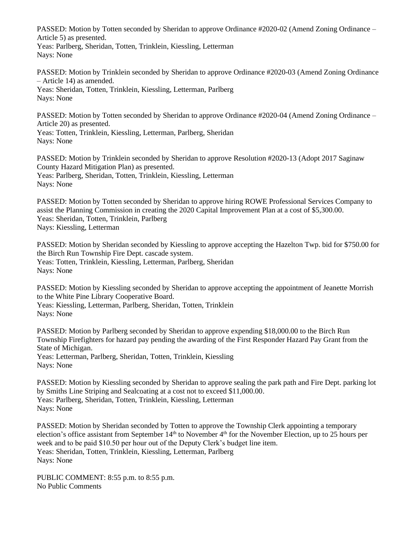PASSED: Motion by Totten seconded by Sheridan to approve Ordinance #2020-02 (Amend Zoning Ordinance – Article 5) as presented.

Yeas: Parlberg, Sheridan, Totten, Trinklein, Kiessling, Letterman Nays: None

PASSED: Motion by Trinklein seconded by Sheridan to approve Ordinance #2020-03 (Amend Zoning Ordinance – Article 14) as amended. Yeas: Sheridan, Totten, Trinklein, Kiessling, Letterman, Parlberg

Nays: None

PASSED: Motion by Totten seconded by Sheridan to approve Ordinance #2020-04 (Amend Zoning Ordinance – Article 20) as presented.

Yeas: Totten, Trinklein, Kiessling, Letterman, Parlberg, Sheridan Nays: None

PASSED: Motion by Trinklein seconded by Sheridan to approve Resolution #2020-13 (Adopt 2017 Saginaw County Hazard Mitigation Plan) as presented. Yeas: Parlberg, Sheridan, Totten, Trinklein, Kiessling, Letterman Nays: None

PASSED: Motion by Totten seconded by Sheridan to approve hiring ROWE Professional Services Company to assist the Planning Commission in creating the 2020 Capital Improvement Plan at a cost of \$5,300.00. Yeas: Sheridan, Totten, Trinklein, Parlberg Nays: Kiessling, Letterman

PASSED: Motion by Sheridan seconded by Kiessling to approve accepting the Hazelton Twp. bid for \$750.00 for the Birch Run Township Fire Dept. cascade system. Yeas: Totten, Trinklein, Kiessling, Letterman, Parlberg, Sheridan Nays: None

PASSED: Motion by Kiessling seconded by Sheridan to approve accepting the appointment of Jeanette Morrish to the White Pine Library Cooperative Board. Yeas: Kiessling, Letterman, Parlberg, Sheridan, Totten, Trinklein

Nays: None

PASSED: Motion by Parlberg seconded by Sheridan to approve expending \$18,000.00 to the Birch Run Township Firefighters for hazard pay pending the awarding of the First Responder Hazard Pay Grant from the State of Michigan.

Yeas: Letterman, Parlberg, Sheridan, Totten, Trinklein, Kiessling Nays: None

PASSED: Motion by Kiessling seconded by Sheridan to approve sealing the park path and Fire Dept. parking lot by Smiths Line Striping and Sealcoating at a cost not to exceed \$11,000.00. Yeas: Parlberg, Sheridan, Totten, Trinklein, Kiessling, Letterman Nays: None

PASSED: Motion by Sheridan seconded by Totten to approve the Township Clerk appointing a temporary election's office assistant from September  $14<sup>th</sup>$  to November  $4<sup>th</sup>$  for the November Election, up to 25 hours per week and to be paid \$10.50 per hour out of the Deputy Clerk's budget line item. Yeas: Sheridan, Totten, Trinklein, Kiessling, Letterman, Parlberg Nays: None

PUBLIC COMMENT: 8:55 p.m. to 8:55 p.m. No Public Comments